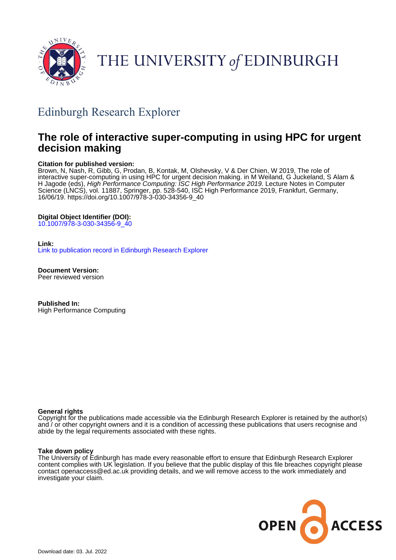

# THE UNIVERSITY of EDINBURGH

## Edinburgh Research Explorer

## **The role of interactive super-computing in using HPC for urgent decision making**

#### **Citation for published version:**

Brown, N, Nash, R, Gibb, G, Prodan, B, Kontak, M, Olshevsky, V & Der Chien, W 2019, The role of interactive super-computing in using HPC for urgent decision making. in M Weiland, G Juckeland, S Alam & H Jagode (eds), High Performance Computing: ISC High Performance 2019. Lecture Notes in Computer Science (LNCS), vol. 11887, Springer, pp. 528-540, ISC High Performance 2019, Frankfurt, Germany, 16/06/19. [https://doi.org/10.1007/978-3-030-34356-9\\_40](https://doi.org/10.1007/978-3-030-34356-9_40)

#### **Digital Object Identifier (DOI):**

[10.1007/978-3-030-34356-9\\_40](https://doi.org/10.1007/978-3-030-34356-9_40)

#### **Link:**

[Link to publication record in Edinburgh Research Explorer](https://www.research.ed.ac.uk/en/publications/b868ffbd-a11f-4e70-a611-bb49ebc18cfa)

**Document Version:** Peer reviewed version

**Published In:** High Performance Computing

#### **General rights**

Copyright for the publications made accessible via the Edinburgh Research Explorer is retained by the author(s) and / or other copyright owners and it is a condition of accessing these publications that users recognise and abide by the legal requirements associated with these rights.

#### **Take down policy**

The University of Edinburgh has made every reasonable effort to ensure that Edinburgh Research Explorer content complies with UK legislation. If you believe that the public display of this file breaches copyright please contact openaccess@ed.ac.uk providing details, and we will remove access to the work immediately and investigate your claim.

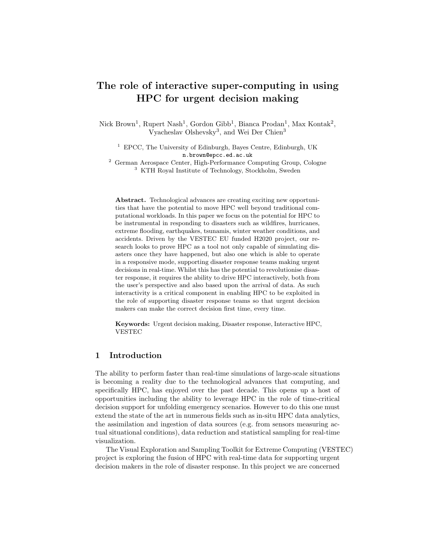### The role of interactive super-computing in using HPC for urgent decision making

Nick Brown<sup>1</sup>, Rupert Nash<sup>1</sup>, Gordon Gibb<sup>1</sup>, Bianca Prodan<sup>1</sup>, Max Kontak<sup>2</sup>, Vyacheslav Olshevsky<sup>3</sup>, and Wei Der Chien<sup>3</sup>

 $1$  EPCC, The University of Edinburgh, Bayes Centre, Edinburgh, UK n.brown@epcc.ed.ac.uk

<sup>2</sup> German Aerospace Center, High-Performance Computing Group, Cologne <sup>3</sup> KTH Royal Institute of Technology, Stockholm, Sweden

Abstract. Technological advances are creating exciting new opportunities that have the potential to move HPC well beyond traditional computational workloads. In this paper we focus on the potential for HPC to be instrumental in responding to disasters such as wildfires, hurricanes, extreme flooding, earthquakes, tsunamis, winter weather conditions, and accidents. Driven by the VESTEC EU funded H2020 project, our research looks to prove HPC as a tool not only capable of simulating disasters once they have happened, but also one which is able to operate in a responsive mode, supporting disaster response teams making urgent decisions in real-time. Whilst this has the potential to revolutionise disaster response, it requires the ability to drive HPC interactively, both from the user's perspective and also based upon the arrival of data. As such interactivity is a critical component in enabling HPC to be exploited in the role of supporting disaster response teams so that urgent decision makers can make the correct decision first time, every time.

Keywords: Urgent decision making, Disaster response, Interactive HPC, VESTEC

#### 1 Introduction

The ability to perform faster than real-time simulations of large-scale situations is becoming a reality due to the technological advances that computing, and specifically HPC, has enjoyed over the past decade. This opens up a host of opportunities including the ability to leverage HPC in the role of time-critical decision support for unfolding emergency scenarios. However to do this one must extend the state of the art in numerous fields such as in-situ HPC data analytics, the assimilation and ingestion of data sources (e.g. from sensors measuring actual situational conditions), data reduction and statistical sampling for real-time visualization.

The Visual Exploration and Sampling Toolkit for Extreme Computing (VESTEC) project is exploring the fusion of HPC with real-time data for supporting urgent decision makers in the role of disaster response. In this project we are concerned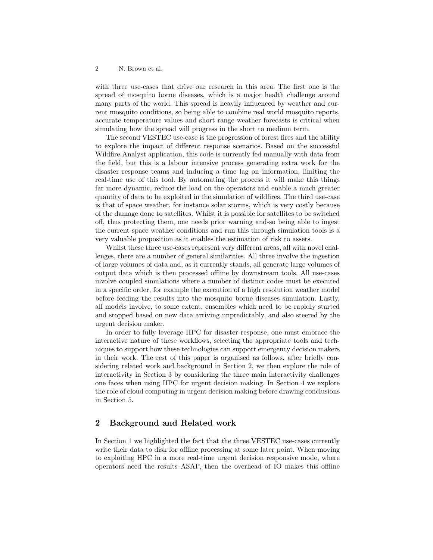with three use-cases that drive our research in this area. The first one is the spread of mosquito borne diseases, which is a major health challenge around many parts of the world. This spread is heavily influenced by weather and current mosquito conditions, so being able to combine real world mosquito reports, accurate temperature values and short range weather forecasts is critical when simulating how the spread will progress in the short to medium term.

The second VESTEC use-case is the progression of forest fires and the ability to explore the impact of different response scenarios. Based on the successful Wildfire Analyst application, this code is currently fed manually with data from the field, but this is a labour intensive process generating extra work for the disaster response teams and inducing a time lag on information, limiting the real-time use of this tool. By automating the process it will make this things far more dynamic, reduce the load on the operators and enable a much greater quantity of data to be exploited in the simulation of wildfires. The third use-case is that of space weather, for instance solar storms, which is very costly because of the damage done to satellites. Whilst it is possible for satellites to be switched off, thus protecting them, one needs prior warning and-so being able to ingest the current space weather conditions and run this through simulation tools is a very valuable proposition as it enables the estimation of risk to assets.

Whilst these three use-cases represent very different areas, all with novel challenges, there are a number of general similarities. All three involve the ingestion of large volumes of data and, as it currently stands, all generate large volumes of output data which is then processed offline by downstream tools. All use-cases involve coupled simulations where a number of distinct codes must be executed in a specific order, for example the execution of a high resolution weather model before feeding the results into the mosquito borne diseases simulation. Lastly, all models involve, to some extent, ensembles which need to be rapidly started and stopped based on new data arriving unpredictably, and also steered by the urgent decision maker.

In order to fully leverage HPC for disaster response, one must embrace the interactive nature of these workflows, selecting the appropriate tools and techniques to support how these technologies can support emergency decision makers in their work. The rest of this paper is organised as follows, after briefly considering related work and background in Section 2, we then explore the role of interactivity in Section 3 by considering the three main interactivity challenges one faces when using HPC for urgent decision making. In Section 4 we explore the role of cloud computing in urgent decision making before drawing conclusions in Section 5.

#### 2 Background and Related work

In Section 1 we highlighted the fact that the three VESTEC use-cases currently write their data to disk for offline processing at some later point. When moving to exploiting HPC in a more real-time urgent decision responsive mode, where operators need the results ASAP, then the overhead of IO makes this offline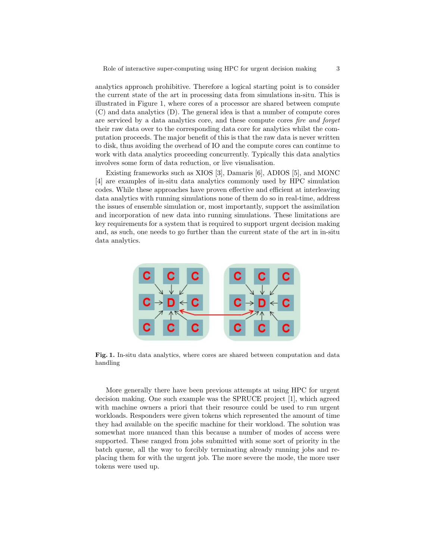analytics approach prohibitive. Therefore a logical starting point is to consider the current state of the art in processing data from simulations in-situ. This is illustrated in Figure 1, where cores of a processor are shared between compute (C) and data analytics (D). The general idea is that a number of compute cores are serviced by a data analytics core, and these compute cores fire and forget their raw data over to the corresponding data core for analytics whilst the computation proceeds. The major benefit of this is that the raw data is never written to disk, thus avoiding the overhead of IO and the compute cores can continue to work with data analytics proceeding concurrently. Typically this data analytics involves some form of data reduction, or live visualisation.

Existing frameworks such as XIOS [3], Damaris [6], ADIOS [5], and MONC [4] are examples of in-situ data analytics commonly used by HPC simulation codes. While these approaches have proven effective and efficient at interleaving data analytics with running simulations none of them do so in real-time, address the issues of ensemble simulation or, most importantly, support the assimilation and incorporation of new data into running simulations. These limitations are key requirements for a system that is required to support urgent decision making and, as such, one needs to go further than the current state of the art in in-situ data analytics.



Fig. 1. In-situ data analytics, where cores are shared between computation and data handling

More generally there have been previous attempts at using HPC for urgent decision making. One such example was the SPRUCE project [1], which agreed with machine owners a priori that their resource could be used to run urgent workloads. Responders were given tokens which represented the amount of time they had available on the specific machine for their workload. The solution was somewhat more nuanced than this because a number of modes of access were supported. These ranged from jobs submitted with some sort of priority in the batch queue, all the way to forcibly terminating already running jobs and replacing them for with the urgent job. The more severe the mode, the more user tokens were used up.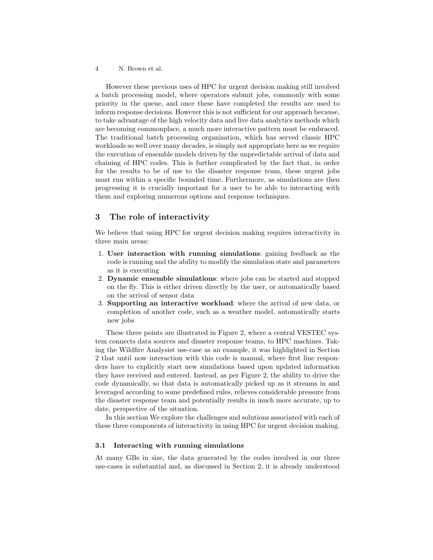However these previous uses of HPC for urgent decision making still involved a batch processing model, where operators submit jobs, commonly with some priority in the queue, and once these have completed the results are used to inform response decisions. However this is not sufficient for our approach because, to take advantage of the high velocity data and live data analytics methods which are becoming commonplace, a much more interactive pattern must be embraced. The traditional batch processing organisation, which has served classic HPC workloads so well over many decades, is simply not appropriate here as we require the execution of ensemble models driven by the unpredictable arrival of data and chaining of HPC codes. This is further complicated by the fact that, in order for the results to be of use to the disaster response team, these urgent jobs must run within a specific bounded time. Furthermore, as simulations are then progressing it is crucially important for a user to be able to interacting with them and exploring numerous options and response techniques.

#### 3 The role of interactivity

We believe that using HPC for urgent decision making requires interactivity in three main areas:

- 1. User interaction with running simulations: gaining feedback as the code is running and the ability to modify the simulation state and parameters as it is executing
- 2. Dynamic ensemble simulations: where jobs can be started and stopped on the fly. This is either driven directly by the user, or automatically based on the arrival of sensor data
- 3. Supporting an interactive workload: where the arrival of new data, or completion of another code, such as a weather model, automatically starts new jobs

These three points are illustrated in Figure 2, where a central VESTEC system connects data sources and disaster response teams, to HPC machines. Taking the Wildfire Analysist use-case as an example, it was highlighted in Section 2 that until now interaction with this code is manual, where first line responders have to explicitly start new simulations based upon updated information they have received and entered. Instead, as per Figure 2, the ability to drive the code dynamically, so that data is automatically picked up as it streams in and leveraged according to some predefined rules, relieves considerable pressure from the disaster response team and potentially results in much more accurate, up to date, perspective of the situation.

In this section We explore the challenges and solutions associated with each of these three components of interactivity in using HPC for urgent decision making.

#### 3.1 Interacting with running simulations

At many GBs in size, the data generated by the codes involved in our three use-cases is substantial and, as discussed in Section 2, it is already understood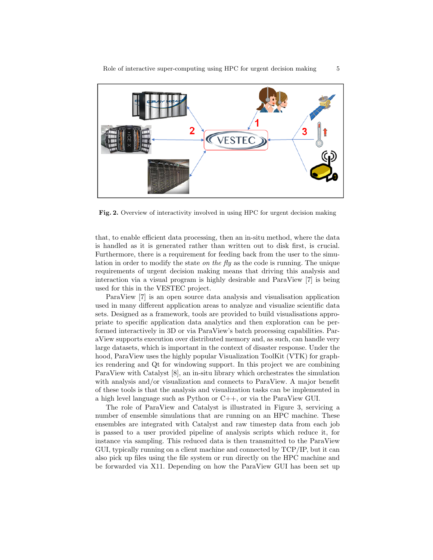

Fig. 2. Overview of interactivity involved in using HPC for urgent decision making

that, to enable efficient data processing, then an in-situ method, where the data is handled as it is generated rather than written out to disk first, is crucial. Furthermore, there is a requirement for feeding back from the user to the simulation in order to modify the state on the fly as the code is running. The unique requirements of urgent decision making means that driving this analysis and interaction via a visual program is highly desirable and ParaView [7] is being used for this in the VESTEC project.

ParaView [7] is an open source data analysis and visualisation application used in many different application areas to analyze and visualize scientific data sets. Designed as a framework, tools are provided to build visualisations appropriate to specific application data analytics and then exploration can be performed interactively in 3D or via ParaView's batch processing capabilities. ParaView supports execution over distributed memory and, as such, can handle very large datasets, which is important in the context of disaster response. Under the hood, ParaView uses the highly popular Visualization ToolKit (VTK) for graphics rendering and Qt for windowing support. In this project we are combining ParaView with Catalyst [8], an in-situ library which orchestrates the simulation with analysis and/or visualization and connects to ParaView. A major benefit of these tools is that the analysis and visualization tasks can be implemented in a high level language such as Python or C++, or via the ParaView GUI.

The role of ParaView and Catalyst is illustrated in Figure 3, servicing a number of ensemble simulations that are running on an HPC machine. These ensembles are integrated with Catalyst and raw timestep data from each job is passed to a user provided pipeline of analysis scripts which reduce it, for instance via sampling. This reduced data is then transmitted to the ParaView GUI, typically running on a client machine and connected by TCP/IP, but it can also pick up files using the file system or run directly on the HPC machine and be forwarded via X11. Depending on how the ParaView GUI has been set up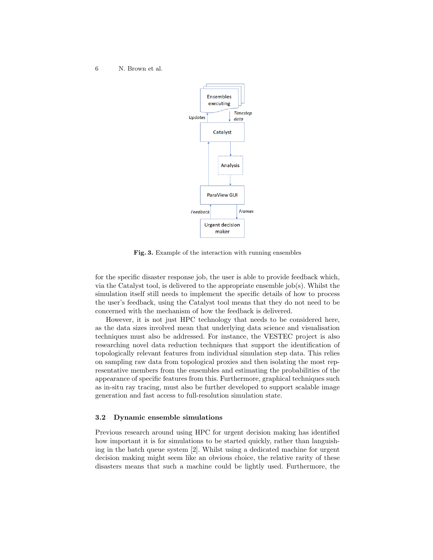

Fig. 3. Example of the interaction with running ensembles

for the specific disaster response job, the user is able to provide feedback which, via the Catalyst tool, is delivered to the appropriate ensemble job(s). Whilst the simulation itself still needs to implement the specific details of how to process the user's feedback, using the Catalyst tool means that they do not need to be concerned with the mechanism of how the feedback is delivered.

However, it is not just HPC technology that needs to be considered here, as the data sizes involved mean that underlying data science and visualisation techniques must also be addressed. For instance, the VESTEC project is also researching novel data reduction techniques that support the identification of topologically relevant features from individual simulation step data. This relies on sampling raw data from topological proxies and then isolating the most representative members from the ensembles and estimating the probabilities of the appearance of specific features from this. Furthermore, graphical techniques such as in-situ ray tracing, must also be further developed to support scalable image generation and fast access to full-resolution simulation state.

#### 3.2 Dynamic ensemble simulations

Previous research around using HPC for urgent decision making has identified how important it is for simulations to be started quickly, rather than languishing in the batch queue system [2]. Whilst using a dedicated machine for urgent decision making might seem like an obvious choice, the relative rarity of these disasters means that such a machine could be lightly used. Furthermore, the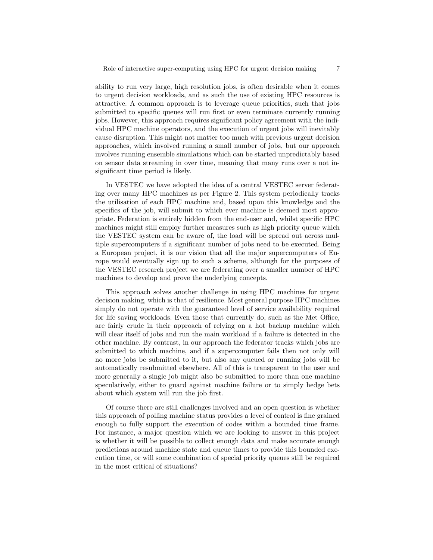ability to run very large, high resolution jobs, is often desirable when it comes to urgent decision workloads, and as such the use of existing HPC resources is attractive. A common approach is to leverage queue priorities, such that jobs submitted to specific queues will run first or even terminate currently running jobs. However, this approach requires significant policy agreement with the individual HPC machine operators, and the execution of urgent jobs will inevitably cause disruption. This might not matter too much with previous urgent decision approaches, which involved running a small number of jobs, but our approach involves running ensemble simulations which can be started unpredictably based on sensor data streaming in over time, meaning that many runs over a not insignificant time period is likely.

In VESTEC we have adopted the idea of a central VESTEC server federating over many HPC machines as per Figure 2. This system periodically tracks the utilisation of each HPC machine and, based upon this knowledge and the specifics of the job, will submit to which ever machine is deemed most appropriate. Federation is entirely hidden from the end-user and, whilst specific HPC machines might still employ further measures such as high priority queue which the VESTEC system can be aware of, the load will be spread out across multiple supercomputers if a significant number of jobs need to be executed. Being a European project, it is our vision that all the major supercomputers of Europe would eventually sign up to such a scheme, although for the purposes of the VESTEC research project we are federating over a smaller number of HPC machines to develop and prove the underlying concepts.

This approach solves another challenge in using HPC machines for urgent decision making, which is that of resilience. Most general purpose HPC machines simply do not operate with the guaranteed level of service availability required for life saving workloads. Even those that currently do, such as the Met Office, are fairly crude in their approach of relying on a hot backup machine which will clear itself of jobs and run the main workload if a failure is detected in the other machine. By contrast, in our approach the federator tracks which jobs are submitted to which machine, and if a supercomputer fails then not only will no more jobs be submitted to it, but also any queued or running jobs will be automatically resubmitted elsewhere. All of this is transparent to the user and more generally a single job might also be submitted to more than one machine speculatively, either to guard against machine failure or to simply hedge bets about which system will run the job first.

Of course there are still challenges involved and an open question is whether this approach of polling machine status provides a level of control is fine grained enough to fully support the execution of codes within a bounded time frame. For instance, a major question which we are looking to answer in this project is whether it will be possible to collect enough data and make accurate enough predictions around machine state and queue times to provide this bounded execution time, or will some combination of special priority queues still be required in the most critical of situations?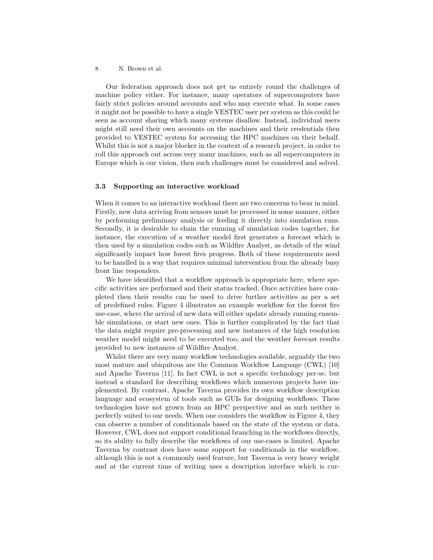Our federation approach does not get us entirely round the challenges of machine policy either. For instance, many operators of supercomputers have fairly strict policies around accounts and who may execute what. In some cases it might not be possible to have a single VESTEC user per system as this could be seen as account sharing which many systems disallow. Instead, individual users might still need their own accounts on the machines and their credentials then provided to VESTEC system for accessing the HPC machines on their behalf. Whilst this is not a major blocker in the context of a research project, in order to roll this approach out across very many machines, such as all supercomputers in Europe which is our vision, then such challenges must be considered and solved.

#### 3.3 Supporting an interactive workload

When it comes to an interactive workload there are two concerns to bear in mind. Firstly, new data arriving from sensors must be processed in some manner, either by performing preliminary analysis or feeding it directly into simulation runs. Secondly, it is desirable to chain the running of simulation codes together, for instance, the execution of a weather model first generates a forecast which is then used by a simulation codes such as Wildfire Analyst, as details of the wind significantly impact how forest fires progress. Both of these requirements need to be handled in a way that requires minimal intervention from the already busy front line responders.

We have identified that a workflow approach is appropriate here, where specific activities are performed and their status tracked. Once activities have completed then their results can be used to drive further activities as per a set of predefined rules. Figure 4 illustrates an example workflow for the forest fire use-case, where the arrival of new data will either update already running ensemble simulations, or start new ones. This is further complicated by the fact that the data might require pre-processing and new instances of the high resolution weather model might need to be executed too, and the weather forecast results provided to new instances of Wildfire Analyst.

Whilst there are very many workflow technologies available, arguably the two most mature and ubiquitous are the Common Workflow Language (CWL) [10] and Apache Taverna [11]. In fact CWL is not a specific technology per-se, but instead a standard for describing workflows which numerous projects have implemented. By contrast, Apache Taverna provides its own workflow description language and ecosystem of tools such as GUIs for designing workflows. These technologies have not grown from an HPC perspective and as such neither is perfectly suited to our needs. When one considers the workflow in Figure 4, they can observe a number of conditionals based on the state of the system or data. However, CWL does not support conditional branching in the workflows directly, so its ability to fully describe the workflows of our use-cases is limited. Apache Taverna by contrast does have some support for conditionals in the workflow, although this is not a commonly used feature, but Taverna is very heavy weight and at the current time of writing uses a description interface which is cur-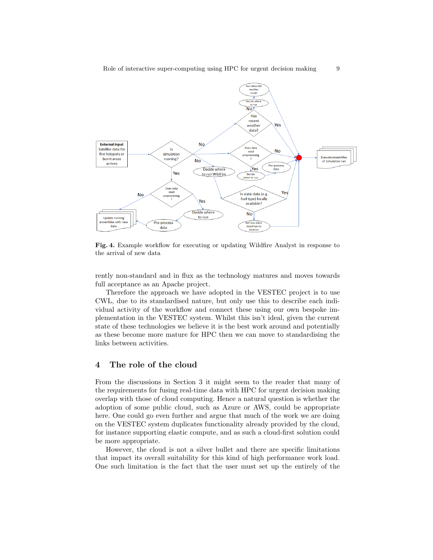

Fig. 4. Example workflow for executing or updating Wildfire Analyst in response to the arrival of new data

rently non-standard and in flux as the technology matures and moves towards full acceptance as an Apache project.

Therefore the approach we have adopted in the VESTEC project is to use CWL, due to its standardised nature, but only use this to describe each individual activity of the workflow and connect these using our own bespoke implementation in the VESTEC system. Whilst this isn't ideal, given the current state of these technologies we believe it is the best work around and potentially as these become more mature for HPC then we can move to standardising the links between activities.

#### 4 The role of the cloud

From the discussions in Section 3 it might seem to the reader that many of the requirements for fusing real-time data with HPC for urgent decision making overlap with those of cloud computing. Hence a natural question is whether the adoption of some public cloud, such as Azure or AWS, could be appropriate here. One could go even further and argue that much of the work we are doing on the VESTEC system duplicates functionality already provided by the cloud, for instance supporting elastic compute, and as such a cloud-first solution could be more appropriate.

However, the cloud is not a silver bullet and there are specific limitations that impact its overall suitability for this kind of high performance work load. One such limitation is the fact that the user must set up the entirely of the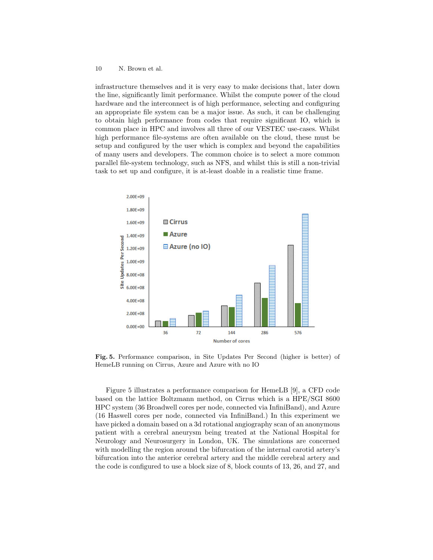infrastructure themselves and it is very easy to make decisions that, later down the line, significantly limit performance. Whilst the compute power of the cloud hardware and the interconnect is of high performance, selecting and configuring an appropriate file system can be a major issue. As such, it can be challenging to obtain high performance from codes that require significant IO, which is common place in HPC and involves all three of our VESTEC use-cases. Whilst high performance file-systems are often available on the cloud, these must be setup and configured by the user which is complex and beyond the capabilities of many users and developers. The common choice is to select a more common parallel file-system technology, such as NFS, and whilst this is still a non-trivial task to set up and configure, it is at-least doable in a realistic time frame.



Fig. 5. Performance comparison, in Site Updates Per Second (higher is better) of HemeLB running on Cirrus, Azure and Azure with no IO

Figure 5 illustrates a performance comparison for HemeLB [9], a CFD code based on the lattice Boltzmann method, on Cirrus which is a HPE/SGI 8600 HPC system (36 Broadwell cores per node, connected via InfiniBand), and Azure (16 Haswell cores per node, connected via InfiniBand.) In this experiment we have picked a domain based on a 3d rotational angiography scan of an anonymous patient with a cerebral aneurysm being treated at the National Hospital for Neurology and Neurosurgery in London, UK. The simulations are concerned with modelling the region around the bifurcation of the internal carotid artery's bifurcation into the anterior cerebral artery and the middle cerebral artery and the code is configured to use a block size of 8, block counts of 13, 26, and 27, and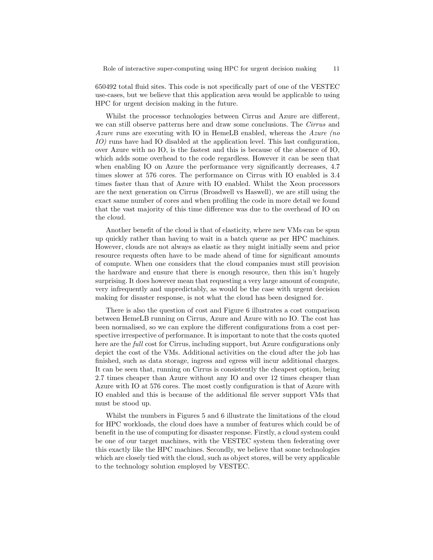650492 total fluid sites. This code is not specifically part of one of the VESTEC use-cases, but we believe that this application area would be applicable to using HPC for urgent decision making in the future.

Whilst the processor technologies between Cirrus and Azure are different, we can still observe patterns here and draw some conclusions. The Cirrus and Azure runs are executing with IO in HemeLB enabled, whereas the Azure (no IO) runs have had IO disabled at the application level. This last configuration, over Azure with no IO, is the fastest and this is because of the absence of IO, which adds some overhead to the code regardless. However it can be seen that when enabling IO on Azure the performance very significantly decreases, 4.7 times slower at 576 cores. The performance on Cirrus with IO enabled is 3.4 times faster than that of Azure with IO enabled. Whilst the Xeon processors are the next generation on Cirrus (Broadwell vs Haswell), we are still using the exact same number of cores and when profiling the code in more detail we found that the vast majority of this time difference was due to the overhead of IO on the cloud.

Another benefit of the cloud is that of elasticity, where new VMs can be spun up quickly rather than having to wait in a batch queue as per HPC machines. However, clouds are not always as elastic as they might initially seem and prior resource requests often have to be made ahead of time for significant amounts of compute. When one considers that the cloud companies must still provision the hardware and ensure that there is enough resource, then this isn't hugely surprising. It does however mean that requesting a very large amount of compute, very infrequently and unpredictably, as would be the case with urgent decision making for disaster response, is not what the cloud has been designed for.

There is also the question of cost and Figure 6 illustrates a cost comparison between HemeLB running on Cirrus, Azure and Azure with no IO. The cost has been normalised, so we can explore the different configurations from a cost perspective irrespective of performance. It is important to note that the costs quoted here are the *full* cost for Cirrus, including support, but Azure configurations only depict the cost of the VMs. Additional activities on the cloud after the job has finished, such as data storage, ingress and egress will incur additional charges. It can be seen that, running on Cirrus is consistently the cheapest option, being 2.7 times cheaper than Azure without any IO and over 12 times cheaper than Azure with IO at 576 cores. The most costly configuration is that of Azure with IO enabled and this is because of the additional file server support VMs that must be stood up.

Whilst the numbers in Figures 5 and 6 illustrate the limitations of the cloud for HPC workloads, the cloud does have a number of features which could be of benefit in the use of computing for disaster response. Firstly, a cloud system could be one of our target machines, with the VESTEC system then federating over this exactly like the HPC machines. Secondly, we believe that some technologies which are closely tied with the cloud, such as object stores, will be very applicable to the technology solution employed by VESTEC.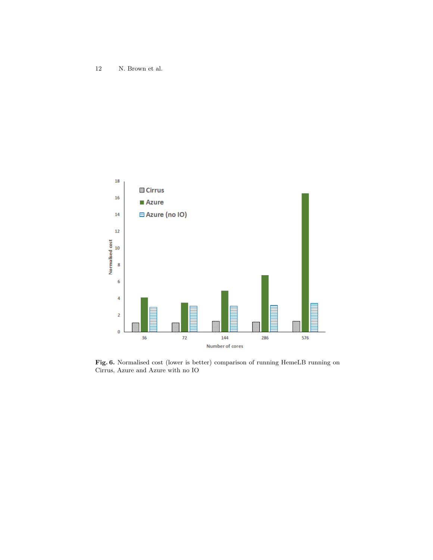

Fig. 6. Normalised cost (lower is better) comparison of running HemeLB running on Cirrus, Azure and Azure with no IO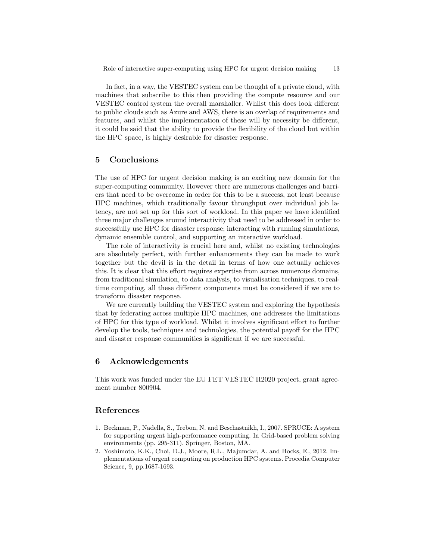In fact, in a way, the VESTEC system can be thought of a private cloud, with machines that subscribe to this then providing the compute resource and our VESTEC control system the overall marshaller. Whilst this does look different to public clouds such as Azure and AWS, there is an overlap of requirements and features, and whilst the implementation of these will by necessity be different, it could be said that the ability to provide the flexibility of the cloud but within the HPC space, is highly desirable for disaster response.

#### 5 Conclusions

The use of HPC for urgent decision making is an exciting new domain for the super-computing community. However there are numerous challenges and barriers that need to be overcome in order for this to be a success, not least because HPC machines, which traditionally favour throughput over individual job latency, are not set up for this sort of workload. In this paper we have identified three major challenges around interactivity that need to be addressed in order to successfully use HPC for disaster response; interacting with running simulations, dynamic ensemble control, and supporting an interactive workload.

The role of interactivity is crucial here and, whilst no existing technologies are absolutely perfect, with further enhancements they can be made to work together but the devil is in the detail in terms of how one actually achieves this. It is clear that this effort requires expertise from across numerous domains, from traditional simulation, to data analysis, to visualisation techniques, to realtime computing, all these different components must be considered if we are to transform disaster response.

We are currently building the VESTEC system and exploring the hypothesis that by federating across multiple HPC machines, one addresses the limitations of HPC for this type of workload. Whilst it involves significant effort to further develop the tools, techniques and technologies, the potential payoff for the HPC and disaster response communities is significant if we are successful.

#### 6 Acknowledgements

This work was funded under the EU FET VESTEC H2020 project, grant agreement number 800904.

#### References

- 1. Beckman, P., Nadella, S., Trebon, N. and Beschastnikh, I., 2007. SPRUCE: A system for supporting urgent high-performance computing. In Grid-based problem solving environments (pp. 295-311). Springer, Boston, MA.
- 2. Yoshimoto, K.K., Choi, D.J., Moore, R.L., Majumdar, A. and Hocks, E., 2012. Implementations of urgent computing on production HPC systems. Procedia Computer Science, 9, pp.1687-1693.